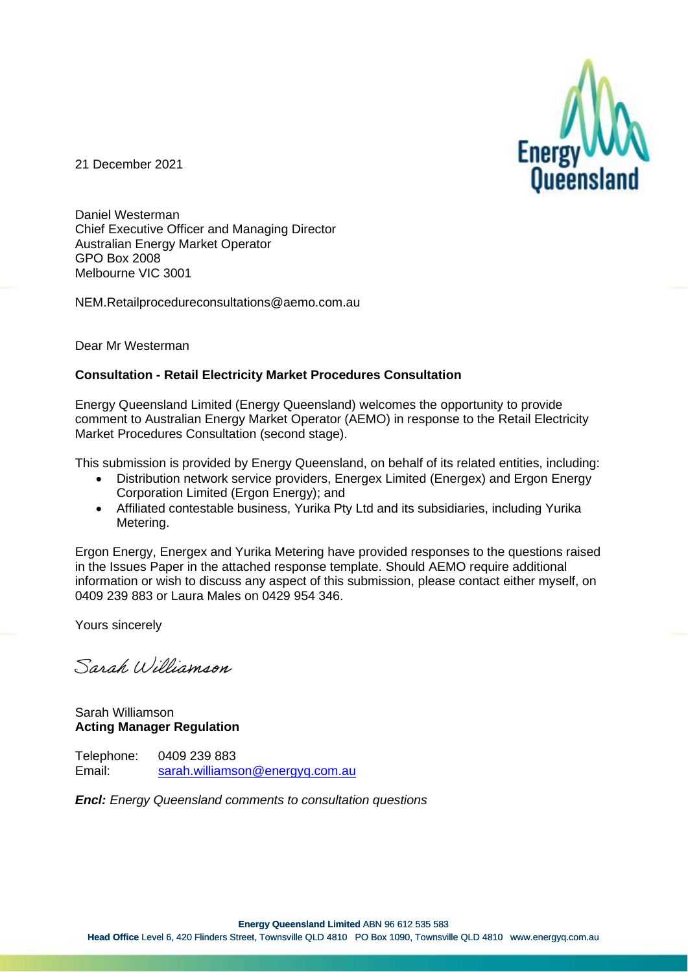

21 December 2021

Daniel Westerman Chief Executive Officer and Managing Director Australian Energy Market Operator GPO Box 2008 Melbourne VIC 3001

NEM.Retailprocedureconsultations@aemo.com.au

Dear Mr Westerman

#### **Consultation - Retail Electricity Market Procedures Consultation**

Energy Queensland Limited (Energy Queensland) welcomes the opportunity to provide comment to Australian Energy Market Operator (AEMO) in response to the Retail Electricity Market Procedures Consultation (second stage).

This submission is provided by Energy Queensland, on behalf of its related entities, including:

- Distribution network service providers, Energex Limited (Energex) and Ergon Energy Corporation Limited (Ergon Energy); and
- Affiliated contestable business, Yurika Pty Ltd and its subsidiaries, including Yurika Metering.

Ergon Energy, Energex and Yurika Metering have provided responses to the questions raised in the Issues Paper in the attached response template. Should AEMO require additional information or wish to discuss any aspect of this submission, please contact either myself, on 0409 239 883 or Laura Males on 0429 954 346.

Yours sincerely

Sarah Williamson

Sarah Williamson **Acting Manager Regulation**

Telephone: 0409 239 883 Email: [sarah.williamson@energyq.com.au](mailto:sarah.williamson@energyq.com.au)

*Encl: Energy Queensland comments to consultation questions*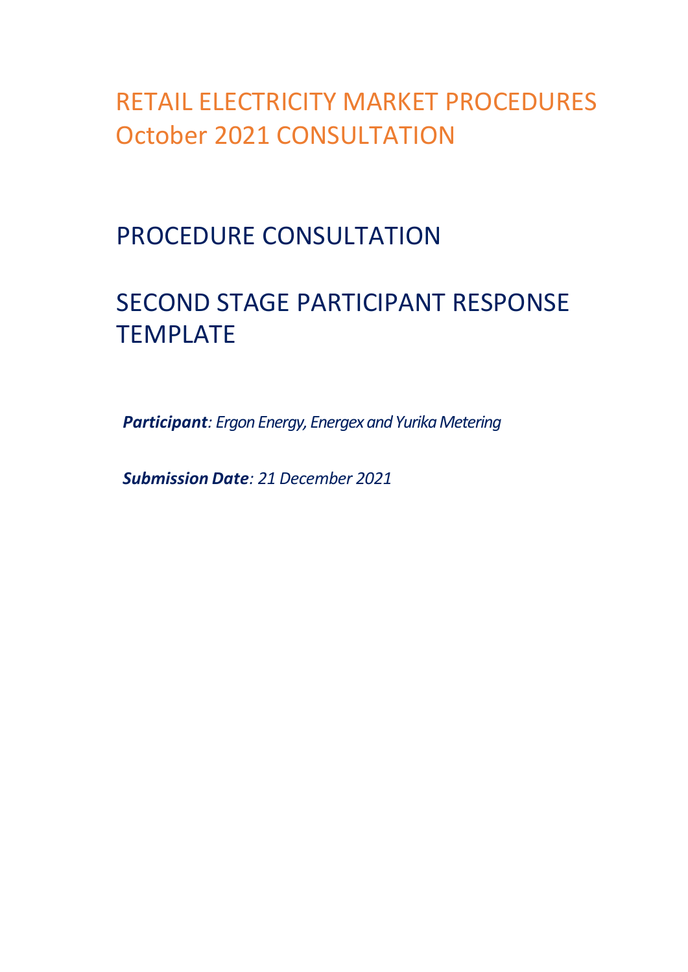RETAIL ELECTRICITY MARKET PROCEDURES October 2021 CONSULTATION

PROCEDURE CONSULTATION

# SECOND STAGE PARTICIPANT RESPONSE TEMPLATE

*Participant: Ergon Energy, Energex and Yurika Metering*

*Submission Date: 21 December 2021*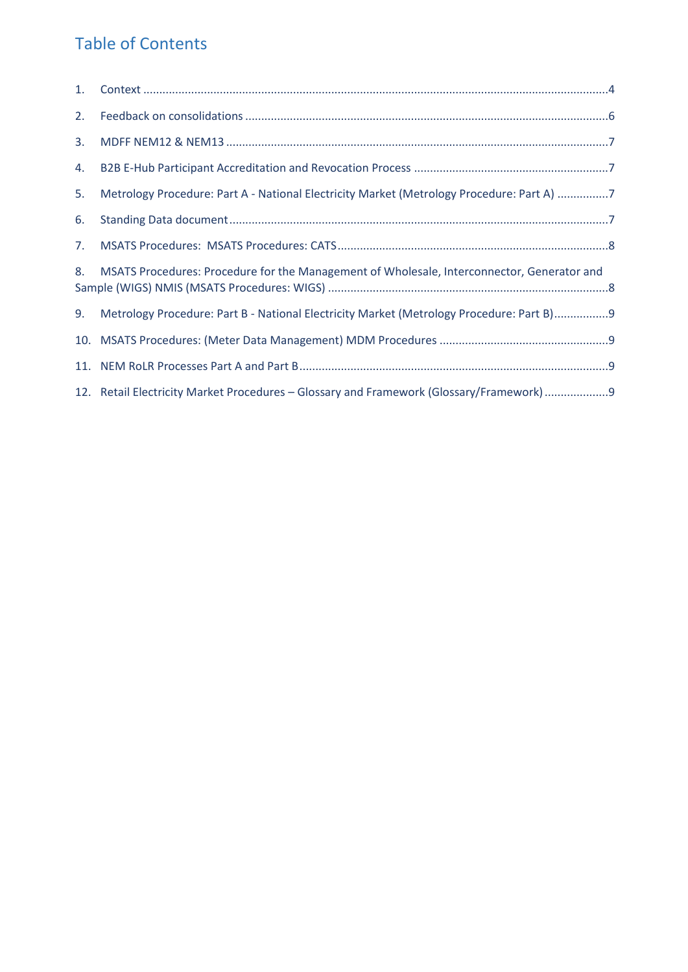#### Table of Contents

| 1. |                                                                                            |
|----|--------------------------------------------------------------------------------------------|
| 2. |                                                                                            |
| 3. |                                                                                            |
| 4. |                                                                                            |
| 5. | Metrology Procedure: Part A - National Electricity Market (Metrology Procedure: Part A) 7  |
| 6. |                                                                                            |
| 7. |                                                                                            |
| 8. | MSATS Procedures: Procedure for the Management of Wholesale, Interconnector, Generator and |
| 9. | Metrology Procedure: Part B - National Electricity Market (Metrology Procedure: Part B)9   |
|    |                                                                                            |
|    |                                                                                            |
|    | 12. Retail Electricity Market Procedures - Glossary and Framework (Glossary/Framework)9    |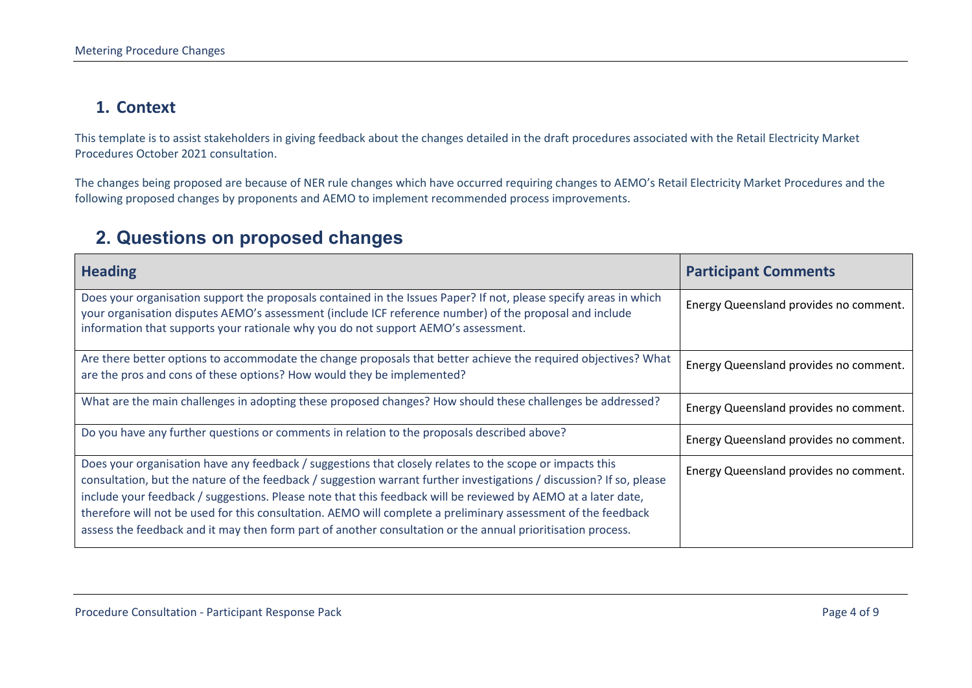#### **1. Context**

This template is to assist stakeholders in giving feedback about the changes detailed in the draft procedures associated with the Retail Electricity Market Procedures October 2021 consultation.

The changes being proposed are because of NER rule changes which have occurred requiring changes to AEMO's Retail Electricity Market Procedures and the following proposed changes by proponents and AEMO to implement recommended process improvements.

#### **2. Questions on proposed changes**

<span id="page-3-0"></span>

| <b>Heading</b>                                                                                                                                                                                                                                                                                                                                                                                                                                                                                                                                                                    | <b>Participant Comments</b>            |
|-----------------------------------------------------------------------------------------------------------------------------------------------------------------------------------------------------------------------------------------------------------------------------------------------------------------------------------------------------------------------------------------------------------------------------------------------------------------------------------------------------------------------------------------------------------------------------------|----------------------------------------|
| Does your organisation support the proposals contained in the Issues Paper? If not, please specify areas in which<br>your organisation disputes AEMO's assessment (include ICF reference number) of the proposal and include<br>information that supports your rationale why you do not support AEMO's assessment.                                                                                                                                                                                                                                                                | Energy Queensland provides no comment. |
| Are there better options to accommodate the change proposals that better achieve the required objectives? What<br>are the pros and cons of these options? How would they be implemented?                                                                                                                                                                                                                                                                                                                                                                                          | Energy Queensland provides no comment. |
| What are the main challenges in adopting these proposed changes? How should these challenges be addressed?                                                                                                                                                                                                                                                                                                                                                                                                                                                                        | Energy Queensland provides no comment. |
| Do you have any further questions or comments in relation to the proposals described above?                                                                                                                                                                                                                                                                                                                                                                                                                                                                                       | Energy Queensland provides no comment. |
| Does your organisation have any feedback / suggestions that closely relates to the scope or impacts this<br>consultation, but the nature of the feedback / suggestion warrant further investigations / discussion? If so, please<br>include your feedback / suggestions. Please note that this feedback will be reviewed by AEMO at a later date,<br>therefore will not be used for this consultation. AEMO will complete a preliminary assessment of the feedback<br>assess the feedback and it may then form part of another consultation or the annual prioritisation process. | Energy Queensland provides no comment. |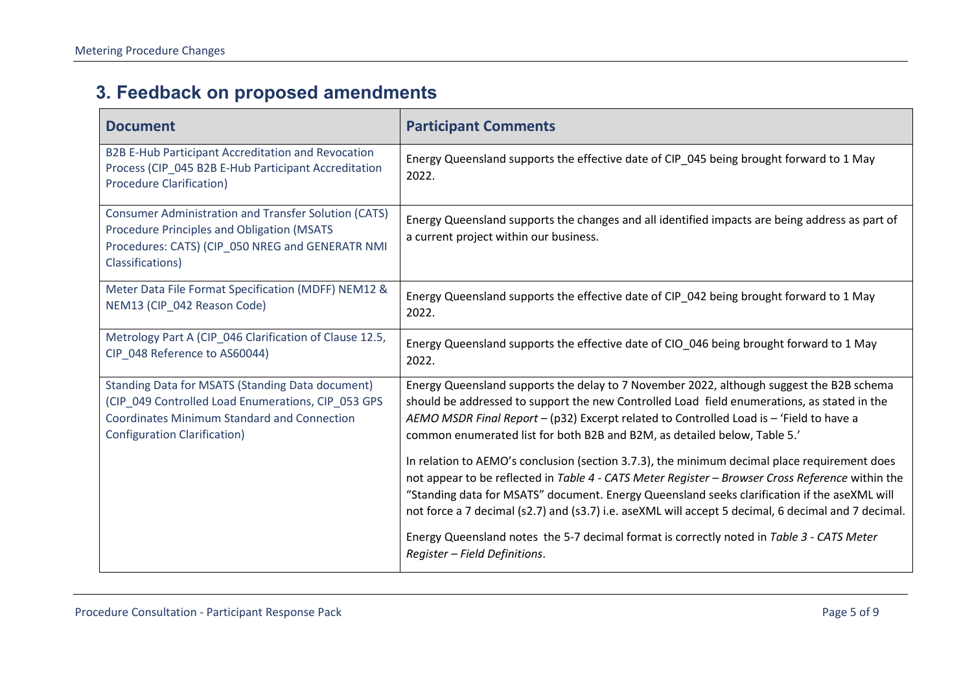## **3. Feedback on proposed amendments**

| <b>Document</b>                                                                                                                                                                                            | <b>Participant Comments</b>                                                                                                                                                                                                                                                                                                                                                                             |
|------------------------------------------------------------------------------------------------------------------------------------------------------------------------------------------------------------|---------------------------------------------------------------------------------------------------------------------------------------------------------------------------------------------------------------------------------------------------------------------------------------------------------------------------------------------------------------------------------------------------------|
| B2B E-Hub Participant Accreditation and Revocation<br>Process (CIP_045 B2B E-Hub Participant Accreditation<br><b>Procedure Clarification)</b>                                                              | Energy Queensland supports the effective date of CIP_045 being brought forward to 1 May<br>2022.                                                                                                                                                                                                                                                                                                        |
| <b>Consumer Administration and Transfer Solution (CATS)</b><br><b>Procedure Principles and Obligation (MSATS</b><br>Procedures: CATS) (CIP_050 NREG and GENERATR NMI<br>Classifications)                   | Energy Queensland supports the changes and all identified impacts are being address as part of<br>a current project within our business.                                                                                                                                                                                                                                                                |
| Meter Data File Format Specification (MDFF) NEM12 &<br>NEM13 (CIP 042 Reason Code)                                                                                                                         | Energy Queensland supports the effective date of CIP_042 being brought forward to 1 May<br>2022.                                                                                                                                                                                                                                                                                                        |
| Metrology Part A (CIP_046 Clarification of Clause 12.5,<br>CIP 048 Reference to AS60044)                                                                                                                   | Energy Queensland supports the effective date of CIO 046 being brought forward to 1 May<br>2022.                                                                                                                                                                                                                                                                                                        |
| <b>Standing Data for MSATS (Standing Data document)</b><br>(CIP_049 Controlled Load Enumerations, CIP_053 GPS<br><b>Coordinates Minimum Standard and Connection</b><br><b>Configuration Clarification)</b> | Energy Queensland supports the delay to 7 November 2022, although suggest the B2B schema<br>should be addressed to support the new Controlled Load field enumerations, as stated in the<br>AEMO MSDR Final Report - (p32) Excerpt related to Controlled Load is - 'Field to have a<br>common enumerated list for both B2B and B2M, as detailed below, Table 5.'                                         |
|                                                                                                                                                                                                            | In relation to AEMO's conclusion (section 3.7.3), the minimum decimal place requirement does<br>not appear to be reflected in Table 4 - CATS Meter Register - Browser Cross Reference within the<br>"Standing data for MSATS" document. Energy Queensland seeks clarification if the aseXML will<br>not force a 7 decimal (s2.7) and (s3.7) i.e. aseXML will accept 5 decimal, 6 decimal and 7 decimal. |
|                                                                                                                                                                                                            | Energy Queensland notes the 5-7 decimal format is correctly noted in Table 3 - CATS Meter<br>Register - Field Definitions.                                                                                                                                                                                                                                                                              |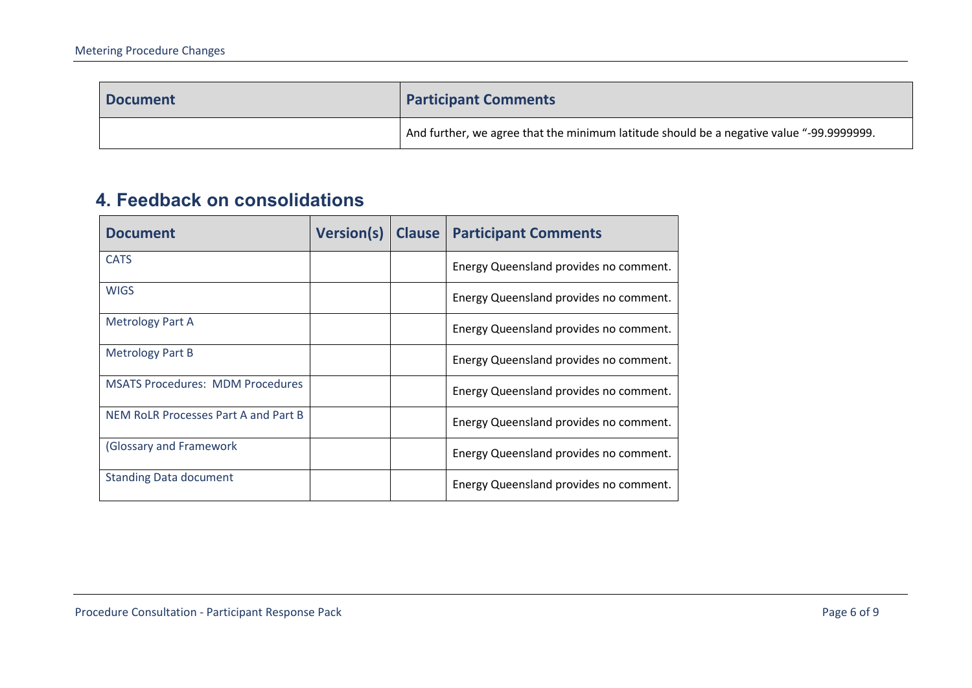| <b>Document</b> | <b>Participant Comments</b>                                                              |
|-----------------|------------------------------------------------------------------------------------------|
|                 | And further, we agree that the minimum latitude should be a negative value "-99.9999999. |

### **4. Feedback on consolidations**

<span id="page-5-0"></span>

| <b>Document</b>                         | <b>Version(s)</b> | <b>Clause</b> | <b>Participant Comments</b>            |
|-----------------------------------------|-------------------|---------------|----------------------------------------|
| <b>CATS</b>                             |                   |               | Energy Queensland provides no comment. |
| <b>WIGS</b>                             |                   |               | Energy Queensland provides no comment. |
| <b>Metrology Part A</b>                 |                   |               | Energy Queensland provides no comment. |
| Metrology Part B                        |                   |               | Energy Queensland provides no comment. |
| <b>MSATS Procedures: MDM Procedures</b> |                   |               | Energy Queensland provides no comment. |
| NEM RoLR Processes Part A and Part B    |                   |               | Energy Queensland provides no comment. |
| (Glossary and Framework                 |                   |               | Energy Queensland provides no comment. |
| <b>Standing Data document</b>           |                   |               | Energy Queensland provides no comment. |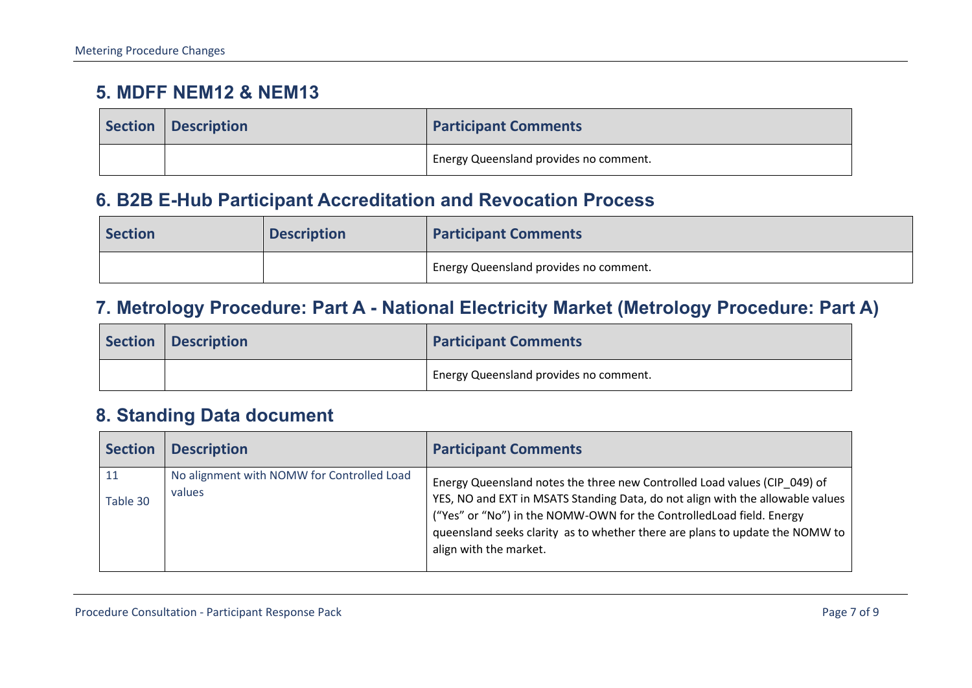#### **5. MDFF NEM12 & NEM13**

| Section   Description | <b>Participant Comments</b>            |
|-----------------------|----------------------------------------|
|                       | Energy Queensland provides no comment. |

#### **6. B2B E-Hub Participant Accreditation and Revocation Process**

| <b>Section</b> | <b>Description</b> | <b>Participant Comments</b>                         |
|----------------|--------------------|-----------------------------------------------------|
|                |                    | <sup>1</sup> Energy Queensland provides no comment. |

#### **7. Metrology Procedure: Part A - National Electricity Market (Metrology Procedure: Part A)**

| Section   Description | <b>Participant Comments</b>            |
|-----------------------|----------------------------------------|
|                       | Energy Queensland provides no comment. |

#### <span id="page-6-0"></span>**8. Standing Data document**

<span id="page-6-3"></span><span id="page-6-2"></span><span id="page-6-1"></span>

| <b>Section</b> | <b>Description</b>                                   | <b>Participant Comments</b>                                                                                                                                                                                                                                                                                                                    |
|----------------|------------------------------------------------------|------------------------------------------------------------------------------------------------------------------------------------------------------------------------------------------------------------------------------------------------------------------------------------------------------------------------------------------------|
| 11<br>Table 30 | No alignment with NOMW for Controlled Load<br>values | Energy Queensland notes the three new Controlled Load values (CIP 049) of<br>YES, NO and EXT in MSATS Standing Data, do not align with the allowable values<br>("Yes" or "No") in the NOMW-OWN for the Controlled Load field. Energy<br>queensland seeks clarity as to whether there are plans to update the NOMW to<br>align with the market. |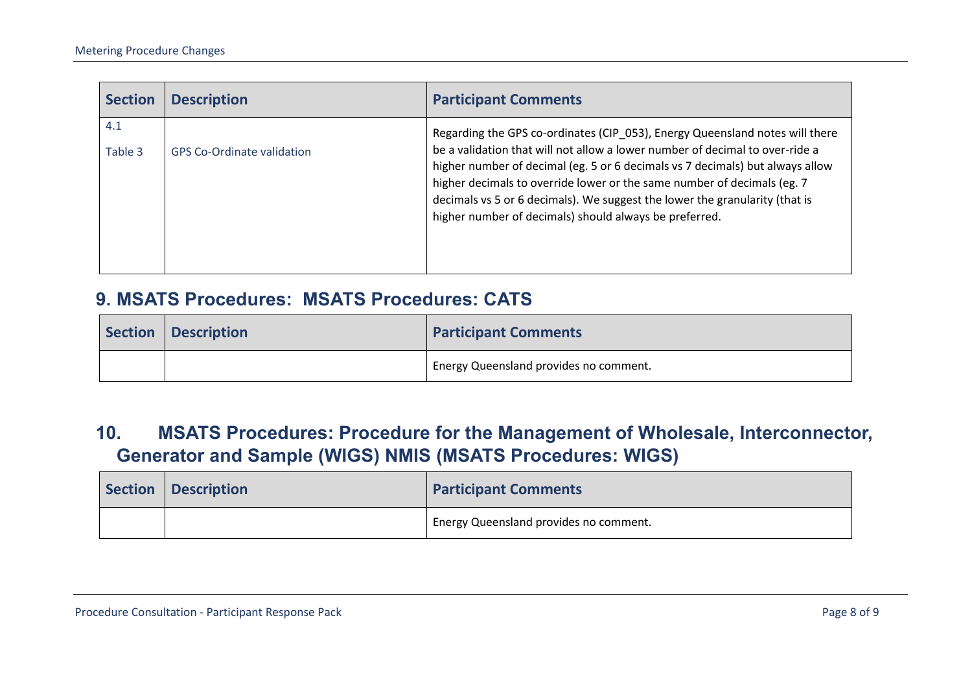| <b>Section</b> | <b>Description</b>                | <b>Participant Comments</b>                                                                                                                                                                                                                                                                                                                                                                                                                                        |
|----------------|-----------------------------------|--------------------------------------------------------------------------------------------------------------------------------------------------------------------------------------------------------------------------------------------------------------------------------------------------------------------------------------------------------------------------------------------------------------------------------------------------------------------|
| 4.1<br>Table 3 | <b>GPS Co-Ordinate validation</b> | Regarding the GPS co-ordinates (CIP_053), Energy Queensland notes will there<br>be a validation that will not allow a lower number of decimal to over-ride a<br>higher number of decimal (eg. 5 or 6 decimals vs 7 decimals) but always allow<br>higher decimals to override lower or the same number of decimals (eg. 7)<br>decimals vs 5 or 6 decimals). We suggest the lower the granularity (that is<br>higher number of decimals) should always be preferred. |

#### **9. MSATS Procedures: MSATS Procedures: CATS**

| Section   Description | <b>Participant Comments</b>                         |
|-----------------------|-----------------------------------------------------|
|                       | <sup>1</sup> Energy Queensland provides no comment. |

#### **10. MSATS Procedures: Procedure for the Management of Wholesale, Interconnector, Generator and Sample (WIGS) NMIS (MSATS Procedures: WIGS)**

<span id="page-7-1"></span><span id="page-7-0"></span>

| Section | <b>Description</b> | <b>Participant Comments</b>            |
|---------|--------------------|----------------------------------------|
|         |                    | Energy Queensland provides no comment. |